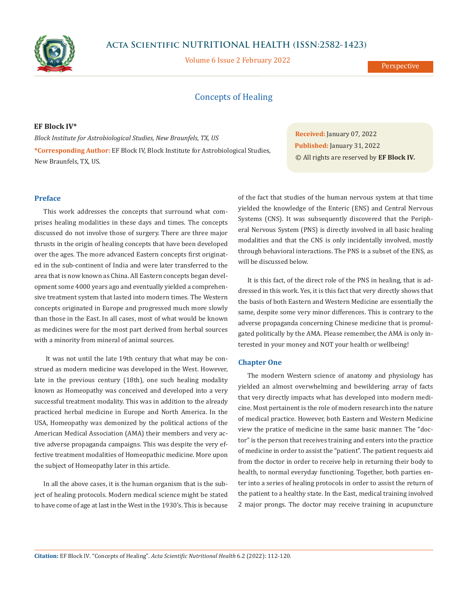

# **Acta Scientific NUTRITIONAL HEALTH (ISSN:2582-1423)**

Volume 6 Issue 2 February 2022

Perspective

# Concepts of Healing

# **EF Block IV\***

*Block Institute for Astrobiological Studies, New Braunfels, TX, US* **\*Corresponding Author:** EF Block IV, Block Institute for Astrobiological Studies, New Braunfels, TX, US.

**Received:** January 07, 2022 **Published:** January 31, 2022 © All rights are reserved by **EF Block IV***.*

# **Preface**

This work addresses the concepts that surround what comprises healing modalities in these days and times. The concepts discussed do not involve those of surgery. There are three major thrusts in the origin of healing concepts that have been developed over the ages. The more advanced Eastern concepts first originated in the sub-continent of India and were later transferred to the area that is now known as China. All Eastern concepts began development some 4000 years ago and eventually yielded a comprehensive treatment system that lasted into modern times. The Western concepts originated in Europe and progressed much more slowly than those in the East. In all cases, most of what would be known as medicines were for the most part derived from herbal sources with a minority from mineral of animal sources.

 It was not until the late 19th century that what may be construed as modern medicine was developed in the West. However, late in the previous century (18th), one such healing modality known as Homeopathy was conceived and developed into a very successful treatment modality. This was in addition to the already practiced herbal medicine in Europe and North America. In the USA, Homeopathy was demonized by the political actions of the American Medical Association (AMA) their members and very active adverse propaganda campaigns. This was despite the very effective treatment modalities of Homeopathic medicine. More upon the subject of Homeopathy later in this article.

In all the above cases, it is the human organism that is the subject of healing protocols. Modern medical science might be stated to have come of age at last in the West in the 1930's. This is because

of the fact that studies of the human nervous system at that time yielded the knowledge of the Enteric (ENS) and Central Nervous Systems (CNS). It was subsequently discovered that the Peripheral Nervous System (PNS) is directly involved in all basic healing modalities and that the CNS is only incidentally involved, mostly through behavioral interactions. The PNS is a subset of the ENS, as will be discussed below.

It is this fact, of the direct role of the PNS in healing, that is addressed in this work. Yes, it is this fact that very directly shows that the basis of both Eastern and Western Medicine are essentially the same, despite some very minor differences. This is contrary to the adverse propaganda concerning Chinese medicine that is promulgated politically by the AMA. Please remember, the AMA is only interested in your money and NOT your health or wellbeing!

## **Chapter One**

The modern Western science of anatomy and physiology has yielded an almost overwhelming and bewildering array of facts that very directly impacts what has developed into modern medicine. Most pertainent is the role of modern research into the nature of medical practice. However, both Eastern and Western Medicine view the pratice of medicine in the same basic manner. The "doctor" is the person that receives training and enters into the practice of medicine in order to assist the "patient". The patient requests aid from the doctor in order to receive help in returning their body to health, to normal everyday functioning. Together, both parties enter into a series of healing protocols in order to assist the return of the patient to a healthy state. In the East, medical training involved 2 major prongs. The doctor may receive training in acupuncture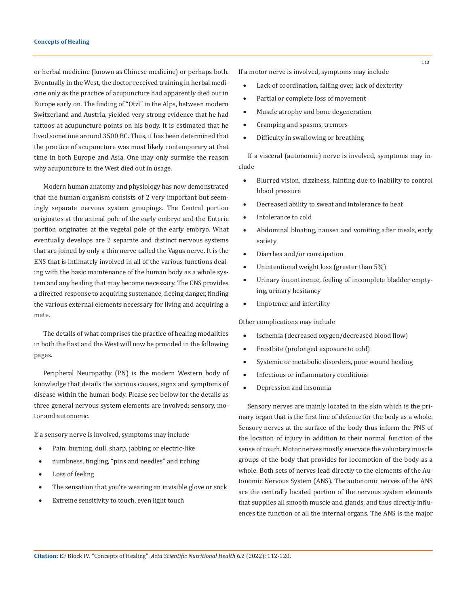or herbal medicine (known as Chinese medicine) or perhaps both. Eventually in the West, the doctor received training in herbal medicine only as the practice of acupuncture had apparently died out in Europe early on. The finding of "Otzi" in the Alps, between modern Switzerland and Austria, yielded very strong evidence that he had tattoos at acupuncture points on his body. It is estimated that he lived sometime around 3500 BC. Thus, it has been determined that the practice of acupuncture was most likely contemporary at that time in both Europe and Asia. One may only surmise the reason why acupuncture in the West died out in usage.

Modern human anatomy and physiology has now demonstrated that the human organism consists of 2 very important but seemingly separate nervous system groupings. The Central portion originates at the animal pole of the early embryo and the Enteric portion originates at the vegetal pole of the early embryo. What eventually develops are 2 separate and distinct nervous systems that are joined by only a thin nerve called the Vagus nerve. It is the ENS that is intimately involved in all of the various functions dealing with the basic maintenance of the human body as a whole system and any healing that may become necessary. The CNS provides a directed response to acquiring sustenance, fleeing danger, finding the various external elements necessary for living and acquiring a mate.

The details of what comprises the practice of healing modalities in both the East and the West will now be provided in the following pages.

Peripheral Neuropathy (PN) is the modern Western body of knowledge that details the various causes, signs and symptoms of disease within the human body. Please see below for the details as three general nervous system elements are involved; sensory, motor and autonomic.

If a sensory nerve is involved, symptoms may include

- Pain: burning, dull, sharp, jabbing or electric-like
- numbness, tingling, "pins and needles" and itching
- Loss of feeling
- The sensation that you're wearing an invisible glove or sock
- Extreme sensitivity to touch, even light touch

If a motor nerve is involved, symptoms may include

- Lack of coordination, falling over, lack of dexterity
- Partial or complete loss of movement
- • Muscle atrophy and bone degeneration
- • Cramping and spasms, tremors
- Difficulty in swallowing or breathing

If a visceral (autonomic) nerve is involved, symptoms may include

- Blurred vision, dizziness, fainting due to inability to control blood pressure
- Decreased ability to sweat and intolerance to heat
- Intolerance to cold
- Abdominal bloating, nausea and vomiting after meals, early satiety
- Diarrhea and/or constipation
- Unintentional weight loss (greater than 5%)
- • Urinary incontinence, feeling of incomplete bladder emptying, urinary hesitancy
- Impotence and infertility

Other complications may include

- Ischemia (decreased oxygen/decreased blood flow)
- Frostbite (prolonged exposure to cold)
- • Systemic or metabolic disorders, poor wound healing
- Infectious or inflammatory conditions
- Depression and insomnia

Sensory nerves are mainly located in the skin which is the primary organ that is the first line of defence for the body as a whole. Sensory nerves at the surface of the body thus inform the PNS of the location of injury in addition to their normal function of the sense of touch. Motor nerves mostly enervate the voluntary muscle groups of the body that provides for locomotion of the body as a whole. Both sets of nerves lead directly to the elements of the Autonomic Nervous System (ANS). The autonomic nerves of the ANS are the centrally located portion of the nervous system elements that supplies all smooth muscle and glands, and thus directly influences the function of all the internal organs. The ANS is the major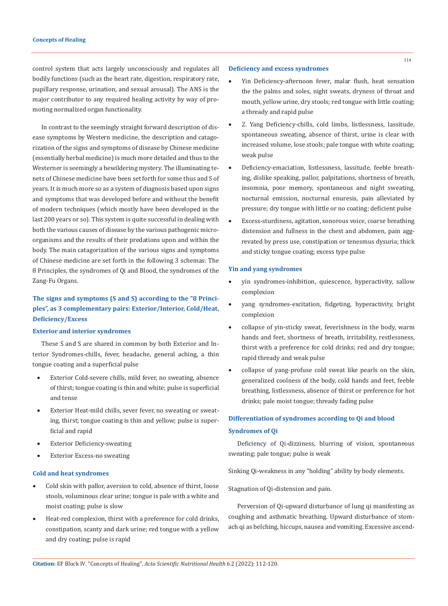control system that acts largely unconsciously and regulates all bodily functions (such as the heart rate, digestion, respiratory rate, pupillary response, urination, and sexual arousal). The ANS is the major contributor to any required healing activity by way of promoting normalized organ functionality.

In contrast to the seemingly straight forward description of disease symptoms by Western medicine, the description and catagorization of the signs and symptoms of disease by Chinese medicine (essentially herbal medicine) is much more detailed and thus to the Westerner is seemingly a bewildering mystery. The illuminating tenets of Chinese medicine have been set forth for some thus and S of years. It is much more so as a system of diagnosis based upon signs and symptoms that was developed before and without the benefit of modern techniques (which mostly have been developed in the last 200 years or so). This system is quite successful in dealing with both the various causes of disease by the various pathogenic microorganisms and the results of their predations upon and within the body. The main catagorization of the various signs and symptoms of Chinese medicine are set forth in the following 3 schemas: The 8 Principles, the syndromes of Qi and Blood, the syndromes of the Zang-Fu Organs.

# **The signs and symptoms (S and S) according to the "8 Principles", as 3 complementary pairs: Exterior/Interior, Cold/Heat, Deficiency/Excess**

# **Exterior and interior syndromes**

These S and S are shared in common by both Exterior and Interior Syndromes-chills, fever, headache, general aching, a thin tongue coating and a superficial pulse

- Exterior Cold-severe chills, mild fever, no sweating, absence of thirst; tongue coating is thin and white; pulse is superficial and tense
- Exterior Heat-mild chills, sever fever, no sweating or sweating, thirst; tongue coating is thin and yellow; pulse is superficial and rapid
- **Exterior Deficiency-sweating**
- Exterior Excess-no sweating

#### **Cold and heat syndromes**

- Cold skin with pallor, aversion to cold, absence of thirst, loose stools, voluminous clear urine; tongue is pale with a white and moist coating; pulse is slow
- Heat-red complexion, thirst with a preference for cold drinks, constipation, scanty and dark urine; red tongue with a yellow and dry coating; pulse is rapid

#### **Deficiency and excess syndromes**

- Yin Deficiency-afternoon fever, malar flush, heat sensation the the palms and soles, night sweats, dryness of throat and mouth, yellow urine, dry stools; red tongue with little coating; a thready and rapid pulse
- 2. Yang Deficiency-chills, cold limbs, listlessness, lassitude, spontaneous sweating, absence of thirst, urine is clear with increased volume, lose stools; pale tongue with white coating; weak pulse
- Deficiency-emaciation, listlessness, lassitude, feeble breathing, dislike speaking, pallor, palpitations, shortness of breath, insomnia, poor memory, spontaneous and night sweating, nocturnal emission, nocturnal enuresis, pain alleviated by pressure; dry tongue with little or no coating; deficient pulse
- Excess-sturdiness, agitation, sonorous voice, coarse breathing distension and fullness in the chest and abdomen, pain aggrevated by press use, constipation or tenesmus dysuria; thick and sticky tongue coating; excess type pulse

## **Yin and yang syndromes**

- yin syndromes-inhibition, quiescence, hyperactivity, sallow complexion
- yang syndromes-excitation, fidgeting, hyperactivity, bright complexion
- collapse of yin-sticky sweat, feverishness in the body, warm hands and feet, shortness of breath, irritability, restlessness, thirst with a preference for cold drinks; red and dry tongue; rapid thready and weak pulse
- collapse of yang-profuse cold sweat like pearls on the skin, generalized coolness of the body, cold hands and feet, feeble breathing, listlessness, absence of thirst or preference for hot drinks; pale moist tongue; thready fading pulse

# **Differentiation of syndromes according to Qi and blood Syndromes of Qi**

Deficiency of Qi-dizziness, blurring of vision, spontaneous sweating; pale tongue; pulse is weak

Sinking Qi-weakness in any "holding" ability by body elements.

Stagnation of Qi-distension and pain.

Perversion of Qi-upward disturbance of lung qi manifesting as coughing and asthmatic breathing. Upward disturbance of stomach qi as belching, hiccups, nausea and vomiting. Excessive ascend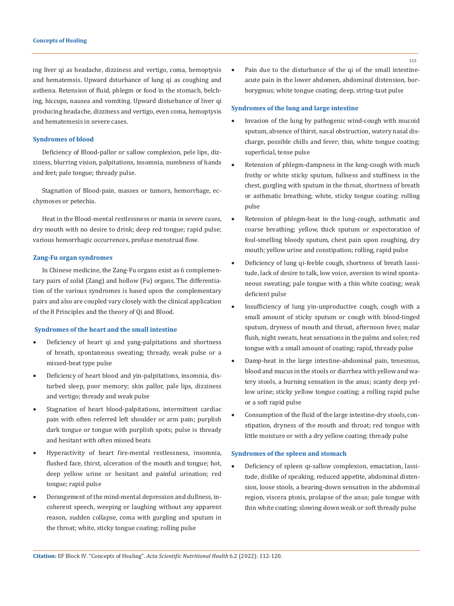ing liver qi as headache, dizziness and vertigo, coma, hemoptysis and hematemsis. Upward dsturbance of lung qi as coughing and asthena. Retension of fluid, phlegm or food in the stomach, belching, hiccups, nausea and vomiting. Upward disturbance of liver qi producing headache, dizziness and vertigo, even coma, hemoptysis and hematemesis in severe cases.

## **Syndromes of blood**

Deficiency of Blood-pallor or sallow complexion, pele lips, dizziness, blurring vision, palpitations, insomnia, numbness of hands and feet; pale tongue; thready pulse.

Stagnation of Blood-pain, masses or tumors, hemorrhage, ecchymoses or petechia.

Heat in the Blood-mental restlessness or mania in severe cases, dry mouth with no desire to drink; deep red tongue; rapid pulse; various hemorrhagic occurrences, profuse menstrual flow.

## **Zang-Fu organ syndromes**

In Chinese medicine, the Zang-Fu organs exist as 6 complementary pairs of solid (Zang) and hollow (Fu) organs. The differentiation of the various syndromes is based upon the complementary pairs and also are coupled vary closely with the clinical application of the 8 Principles and the theory of Qi and Blood.

#### **Syndromes of the heart and the small intestine**

- Deficiency of heart qi and yang-palpitations and shortness of breath, spontaneous sweating; thready, weak pulse or a missed-beat type pulse
- Deficiency of heart blood and yin-palpitations, insomnia, disturbed sleep, poor memory; skin pallor, pale lips, dizziness and vertigo; thready and weak pulse
- • Stagnation of heart blood-palpitations, intermittent cardiac pain with often referred left shoulder or arm pain; purplish dark tongue or tongue with purplish spots; pulse is thready and hesitant with often missed beats
- Hyperactivity of heart fire-mental restlessness, insomnia, flushed face, thirst, ulceration of the mouth and tongue; hot, deep yellow urine or hesitant and painful urination; red tongue; rapid pulse
- Derangement of the mind-mental depression and dullness, incoherent speech, weeping or laughing without any apparent reason, sudden collapse, coma with gurgling and sputum in the throat; white, sticky tongue coating; rolling pulse

Pain due to the disturbance of the qi of the small intestineacute pain in the lower abdomen, abdominal distension, borborygmus; white tongue coating; deep, string-taut pulse

#### **Syndromes of the lung and large intestine**

- Invasion of the lung by pathogenic wind-cough with mucoid sputum, absence of thirst, nasal obstruction, watery nasal discharge, possible chills and fever; thin, white tongue coating; superficial, tense pulse
- Retension of phlegm-dampness in the lung-cough with much frothy or white sticky sputum, fullness and stuffiness in the chest, gurgling with sputum in the throat, shortness of breath or asthmatic breathing; white, sticky tongue coating; rolling pulse
- Retension of phlegm-heat in the lung-cough, asthmatic and coarse breathing; yellow, thick sputum or expectoration of foul-smelling bloody sputum, chest pain upon coughing, dry mouth; yellow urine and constipation; rolling, rapid pulse
- Deficiency of lung qi-feeble cough, shortness of breath lassitude, lack of desire to talk, low voice, aversion to wind spontaneous sweating; pale tongue with a thin white coating; weak deficient pulse
- Insufficiency of lung yin-unproductive cough, cough with a small amount of sticky sputum or cough with blood-tinged sputum, dryness of mouth and throat, afternoon fever, malar flush, night sweats, heat sensations in the palms and soles; red tongue with a small amount of coating; rapid, thready pulse
- Damp-heat in the large intestine-abdominal pain, tenesmus, blood and mucus in the stools or diarrhea with yellow and watery stools, a burning sensation in the anus; scanty deep yellow urine; sticky yellow tongue coating; a rolling rapid pulse or a soft rapid pulse
- Consumption of the fluid of the large intestine-dry stools, constipation, dryness of the mouth and throat; red tongue with little moisture or with a dry yellow coating; thready pulse

#### **Syndromes of the spleen and stomach**

Deficiency of spleen qi-sallow complexion, emaciation, lassitude, dislike of speaking, reduced appetite, abdominal distension, loose stools, a bearing-down sensation in the abdominal region, viscera ptosis, prolapse of the anus; pale tongue with thin white coating; slowing down weak or soft thready pulse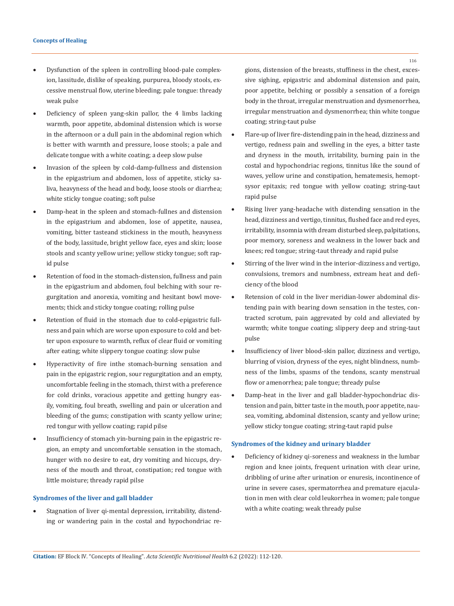- Dysfunction of the spleen in controlling blood-pale complexion, lassitude, dislike of speaking, purpurea, bloody stools, excessive menstrual flow, uterine bleeding; pale tongue: thready weak pulse
- Deficiency of spleen yang-skin pallor, the 4 limbs lacking warmth, poor appetite, abdominal distension which is worse in the afternoon or a dull pain in the abdominal region which is better with warmth and pressure, loose stools; a pale and delicate tongue with a white coating; a deep slow pulse
- Invasion of the spleen by cold-damp-fullness and distension in the epigastrium and abdomen, loss of appetite, sticky saliva, heavyness of the head and body, loose stools or diarrhea; white sticky tongue coating; soft pulse
- Damp-heat in the spleen and stomach-fullnes and distension in the epigastrium and abdomen, lose of appetite, nausea, vomiting, bitter tasteand stickiness in the mouth, heavyness of the body, lassitude, bright yellow face, eyes and skin; loose stools and scanty yellow urine; yellow sticky tongue; soft rapid pulse
- Retention of food in the stomach-distension, fullness and pain in the epigastrium and abdomen, foul belching with sour regurgitation and anorexia, vomiting and hesitant bowl movements; thick and sticky tongue coating; rolling pulse
- • Retention of fluid in the stomach due to cold-epigastric fullness and pain which are worse upon exposure to cold and better upon exposure to warmth, reflux of clear fluid or vomiting after eating; white slippery tongue coating: slow pulse
- Hyperactivity of fire inthe stomach-burning sensation and pain in the epigastric region, sour regurgitation and an empty, uncomfortable feeling in the stomach, thirst with a preference for cold drinks, voracious appetite and getting hungry easily, vomiting, foul breath, swelling and pain or ulceration and bleeding of the gums; constipation with scanty yellow urine; red tongur with yellow coating; rapid pilse
- Insufficiency of stomach yin-burning pain in the epigastric region, an empty and uncomfortable sensation in the stomach, hunger with no desire to eat, dry vomiting and hiccups, dryness of the mouth and throat, constipation; red tongue with little moisture; thready rapid pilse

## **Syndromes of the liver and gall bladder**

Stagnation of liver qi-mental depression, irritability, distending or wandering pain in the costal and hypochondriac re-

gions, distension of the breasts, stuffiness in the chest, excessive sighing, epigastric and abdominal distension and pain, poor appetite, belching or possibly a sensation of a foreign body in the throat, irregular menstruation and dysmenorrhea, irregular menstruation and dysmenorrhea; thin white tongue coating; string-taut pulse

- Flare-up of liver fire-distending pain in the head, dizziness and vertigo, redness pain and swelling in the eyes, a bitter taste and dryness in the mouth, irritability, burning pain in the costal and hypochondriac regions, tinnitus like the sound of waves, yellow urine and constipation, hematemesis, hemoptsysor epitaxis; red tongue with yellow coating; string-taut rapid pulse
- Rising liver yang-headache with distending sensation in the head, dizziness and vertigo, tinnitus, flushed face and red eyes, irritability, insomnia with dream disturbed sleep, palpitations, poor memory, soreness and weakness in the lower back and knees; red tongue; string-taut thready and rapid pulse
- Stirring of the liver wind in the interior-dizziness and vertigo, convulsions, tremors and numbness, extream heat and deficiency of the blood
- Retension of cold in the liver meridian-lower abdominal distending pain with bearing down sensation in the testes, contracted scrotum, pain aggrevated by cold and alleviated by warmth; white tongue coating; slippery deep and string-taut pulse
- Insufficiency of liver blood-skin pallor, dizziness and vertigo, blurring of vision, dryness of the eyes, night blindness, numbness of the limbs, spasms of the tendons, scanty menstrual flow or amenorrhea; pale tongue; thready pulse
- Damp-heat in the liver and gall bladder-hypochondriac distension and pain, bitter taste in the mouth, poor appetite, nausea, vomiting, abdominal distension, scanty and yellow urine; yellow sticky tongue coating; string-taut rapid pulse

#### **Syndromes of the kidney and urinary bladder**

Deficiency of kidney qi-soreness and weakness in the lumbar region and knee joints, frequent urination with clear urine, dribbling of urine after urination or enuresis, incontinence of urine in severe cases, spermatorrhea and premature ejaculation in men with clear cold leukorrhea in women; pale tongue with a white coating; weak thready pulse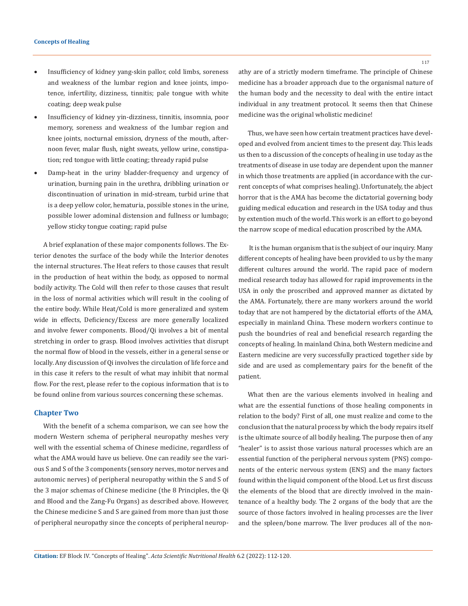- Insufficiency of kidney yang-skin pallor, cold limbs, soreness and weakness of the lumbar region and knee joints, impotence, infertility, dizziness, tinnitis; pale tongue with white coating; deep weak pulse
- • Insufficiency of kidney yin-dizziness, tinnitis, insomnia, poor memory, soreness and weakness of the lumbar region and knee joints, nocturnal emission, dryness of the mouth, afternoon fever, malar flush, night sweats, yellow urine, constipation; red tongue with little coating; thready rapid pulse
- • Damp-heat in the uriny bladder-frequency and urgency of urination, burning pain in the urethra, dribbling urination or discontinuation of urination in mid-stream, turbid urine that is a deep yellow color, hematuria, possible stones in the urine, possible lower adominal distension and fullness or lumbago; yellow sticky tongue coating; rapid pulse

A brief explanation of these major components follows. The Exterior denotes the surface of the body while the Interior denotes the internal structures. The Heat refers to those causes that result in the production of heat within the body, as opposed to normal bodily activity. The Cold will then refer to those causes that result in the loss of normal activities which will result in the cooling of the entire body. While Heat/Cold is more generalized and system wide in effects, Deficiency/Excess are more generally localized and involve fewer components. Blood/Qi involves a bit of mental stretching in order to grasp. Blood involves activities that disrupt the normal flow of blood in the vessels, either in a general sense or locally. Any discussion of Qi involves the circulation of life force and in this case it refers to the result of what may inhibit that normal flow. For the rest, please refer to the copious information that is to be found online from various sources concerning these schemas.

## **Chapter Two**

With the benefit of a schema comparison, we can see how the modern Western schema of peripheral neuropathy meshes very well with the essential schema of Chinese medicine, regardless of what the AMA would have us believe. One can readily see the various S and S of the 3 components (sensory nerves, motor nerves and autonomic nerves) of peripheral neuropathy within the S and S of the 3 major schemas of Chinese medicine (the 8 Principles, the Qi and Blood and the Zang-Fu Organs) as described above. However, the Chinese medicine S and S are gained from more than just those of peripheral neuropathy since the concepts of peripheral neuropathy are of a strictly modern timeframe. The principle of Chinese medicine has a broader approach due to the organismal nature of the human body and the necessity to deal with the entire intact individual in any treatment protocol. It seems then that Chinese medicine was the original wholistic medicine!

Thus, we have seen how certain treatment practices have developed and evolved from ancient times to the present day. This leads us then to a discussion of the concepts of healing in use today as the treatments of disease in use today are dependent upon the manner in which those treatments are applied (in accordance with the current concepts of what comprises healing). Unfortunately, the abject horror that is the AMA has become the dictatorial governing body guiding medical education and research in the USA today and thus by extention much of the world. This work is an effort to go beyond the narrow scope of medical education proscribed by the AMA.

 It is the human organism that is the subject of our inquiry. Many different concepts of healing have been provided to us by the many different cultures around the world. The rapid pace of modern medical research today has allowed for rapid improvements in the USA in only the proscribed and approved manner as dictated by the AMA. Fortunately, there are many workers around the world today that are not hampered by the dictatorial efforts of the AMA, especially in mainland China. These modern workers continue to push the boundries of real and beneficial research regarding the concepts of healing. In mainland China, both Western medicine and Eastern medicine are very successfully practiced together side by side and are used as complementary pairs for the benefit of the patient.

What then are the various elements involved in healing and what are the essential functions of those healing components in relation to the body? First of all, one must realize and come to the conclusion that the natural process by which the body repairs itself is the ultimate source of all bodily healing. The purpose then of any "healer" is to assist those various natural processes which are an essential function of the peripheral nervous system (PNS) components of the enteric nervous system (ENS) and the many factors found within the liquid component of the blood. Let us first discuss the elements of the blood that are directly involved in the maintenance of a healthy body. The 2 organs of the body that are the source of those factors involved in healing processes are the liver and the spleen/bone marrow. The liver produces all of the non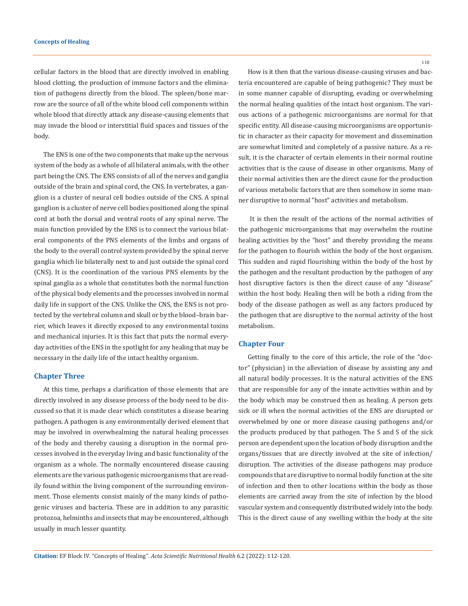cellular factors in the blood that are directly involved in enabling blood clotting, the production of immune factors and the elimination of pathogens directly from the blood. The spleen/bone marrow are the source of all of the white blood cell components within whole blood that directly attack any disease-causing elements that may invade the blood or interstitial fluid spaces and tissues of the body.

The ENS is one of the two components that make up the nervous system of the body as a whole of all bilateral animals, with the other part being the CNS. The ENS consists of all of the nerves and ganglia outside of the brain and spinal cord, the CNS. In vertebrates, a ganglion is a cluster of neural cell bodies outside of the CNS. A spinal ganglion is a cluster of nerve cell bodies positioned along the spinal cord at both the dorsal and ventral roots of any spinal nerve. The main function provided by the ENS is to connect the various bilateral components of the PNS elements of the limbs and organs of the body to the overall control system provided by the spinal nerve ganglia which lie bilaterally next to and just outside the spinal cord (CNS). It is the coordination of the various PNS elements by the spinal ganglia as a whole that constitutes both the normal function of the physical body elements and the processes involved in normal daily life in support of the CNS. Unlike the CNS, the ENS is not protected by the vertebral column and skull or by the blood–brain barrier, which leaves it directly exposed to any environmental toxins and mechanical injuries. It is this fact that puts the normal everyday activities of the ENS in the spotlight for any healing that may be necessary in the daily life of the intact healthy organism.

#### **Chapter Three**

At this time, perhaps a clarification of those elements that are directly involved in any disease process of the body need to be discussed so that it is made clear which constitutes a disease bearing pathogen. A pathogen is any environmentally derived element that may be involved in overwhealming the natural healing processes of the body and thereby causing a disruption in the normal processes involved in the everyday living and basic functionality of the organism as a whole. The normally encountered disease causing elements are the various pathogenic microorganisms that are readily found within the living component of the surrounding environment. Those elements consist mainly of the many kinds of pathogenic viruses and bacteria. These are in addition to any parasitic protozoa, helminths and insects that may be encountered, although usually in much lesser quantity.

How is it then that the various disease-causing viruses and bacteria encountered are capable of being pathogenic? They must be in some manner capable of disrupting, evading or overwhelming the normal healing qualities of the intact host organism. The various actions of a pathogenic microorganisms are normal for that specific entity. All disease-causing microorganisms are opportunistic in character as their capacity for movement and dissemination are somewhat limited and completely of a passive nature. As a result, it is the character of certain elements in their normal routine activities that is the cause of disease in other organisms. Many of their normal activities then are the direct cause for the production of various metabolic factors that are then somehow in some manner disruptive to normal "host" activities and metabolism.

 It is then the result of the actions of the normal activities of the pathogenic microorganisms that may overwhelm the routine healing activities by the "host" and thereby providing the means for the pathogen to flourish within the body of the host organism. This sudden and rapid flourishing within the body of the host by the pathogen and the resultant production by the pathogen of any host disruptive factors is then the direct cause of any "disease" within the host body. Healing then will be both a riding from the body of the disease pathogen as well as any factors produced by the pathogen that are disruptive to the normal activity of the host metabolism.

# **Chapter Four**

Getting finally to the core of this article, the role of the "doctor" (physician) in the alleviation of disease by assisting any and all natural bodily processes. It is the natural activities of the ENS that are responsible for any of the innate activities within and by the body which may be construed then as healing. A person gets sick or ill when the normal activities of the ENS are disrupted or overwhelmed by one or more disease causing pathogens and/or the products produced by that pathogen. The S and S of the sick person are dependent upon the location of body disruption and the organs/tissues that are directly involved at the site of infection/ disruption. The activities of the disease pathogens may produce compounds that are disruptive to normal bodily function at the site of infection and then to other locations within the body as those elements are carried away from the site of infection by the blood vascular system and consequently distributed widely into the body. This is the direct cause of any swelling within the body at the site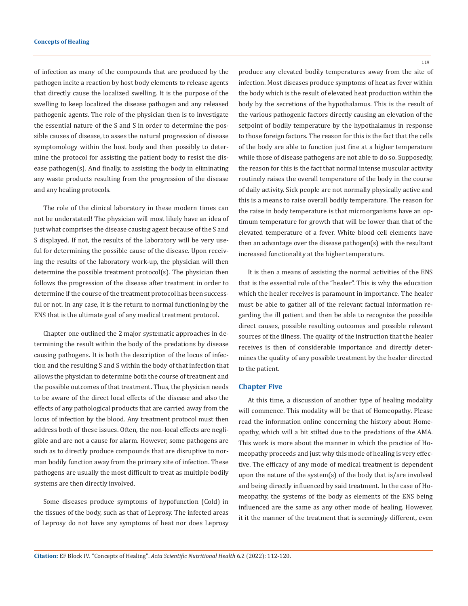of infection as many of the compounds that are produced by the pathogen incite a reaction by host body elements to release agents that directly cause the localized swelling. It is the purpose of the swelling to keep localized the disease pathogen and any released pathogenic agents. The role of the physician then is to investigate the essential nature of the S and S in order to determine the possible causes of disease, to asses the natural progression of disease symptomology within the host body and then possibly to determine the protocol for assisting the patient body to resist the disease pathogen(s). And finally, to assisting the body in eliminating any waste products resulting from the progression of the disease and any healing protocols.

The role of the clinical laboratory in these modern times can not be understated! The physician will most likely have an idea of just what comprises the disease causing agent because of the S and S displayed. If not, the results of the laboratory will be very useful for determining the possible cause of the disease. Upon receiving the results of the laboratory work-up, the physician will then determine the possible treatment protocol(s). The physician then follows the progression of the disease after treatment in order to determine if the course of the treatment protocol has been successful or not. In any case, it is the return to normal functioning by the ENS that is the ultimate goal of any medical treatment protocol.

Chapter one outlined the 2 major systematic approaches in determining the result within the body of the predations by disease causing pathogens. It is both the description of the locus of infection and the resulting S and S within the body of that infection that allows the physician to determine both the course of treatment and the possible outcomes of that treatment. Thus, the physician needs to be aware of the direct local effects of the disease and also the effects of any pathological products that are carried away from the locus of infection by the blood. Any treatment protocol must then address both of these issues. Often, the non-local effects are negligible and are not a cause for alarm. However, some pathogens are such as to directly produce compounds that are disruptive to norman bodily function away from the primary site of infection. These pathogens are usually the most difficult to treat as multiple bodily systems are then directly involved.

Some diseases produce symptoms of hypofunction (Cold) in the tissues of the body, such as that of Leprosy. The infected areas of Leprosy do not have any symptoms of heat nor does Leprosy 119

produce any elevated bodily temperatures away from the site of infection. Most diseases produce symptoms of heat as fever within the body which is the result of elevated heat production within the body by the secretions of the hypothalamus. This is the result of the various pathogenic factors directly causing an elevation of the setpoint of bodily temperature by the hypothalamus in response to those foreign factors. The reason for this is the fact that the cells of the body are able to function just fine at a higher temperature while those of disease pathogens are not able to do so. Supposedly, the reason for this is the fact that normal intense muscular activity routinely raises the overall temperature of the body in the course of daily activity. Sick people are not normally physically active and this is a means to raise overall bodily temperature. The reason for the raise in body temperature is that microorganisms have an optimum temperature for growth that will be lower than that of the elevated temperature of a fever. White blood cell elements have then an advantage over the disease pathogen(s) with the resultant increased functionality at the higher temperature.

It is then a means of assisting the normal activities of the ENS that is the essential role of the "healer". This is why the education which the healer receives is paramount in importance. The healer must be able to gather all of the relevant factual information regarding the ill patient and then be able to recognize the possible direct causes, possible resulting outcomes and possible relevant sources of the illness. The quality of the instruction that the healer receives is then of considerable importance and directly determines the quality of any possible treatment by the healer directed to the patient.

#### **Chapter Five**

At this time, a discussion of another type of healing modality will commence. This modality will be that of Homeopathy. Please read the information online concerning the history about Homeopathy, which will a bit stilted due to the predations of the AMA. This work is more about the manner in which the practice of Homeopathy proceeds and just why this mode of healing is very effective. The efficacy of any mode of medical treatment is dependent upon the nature of the system(s) of the body that is/are involved and being directly influenced by said treatment. In the case of Homeopathy, the systems of the body as elements of the ENS being influenced are the same as any other mode of healing. However, it it the manner of the treatment that is seemingly different, even